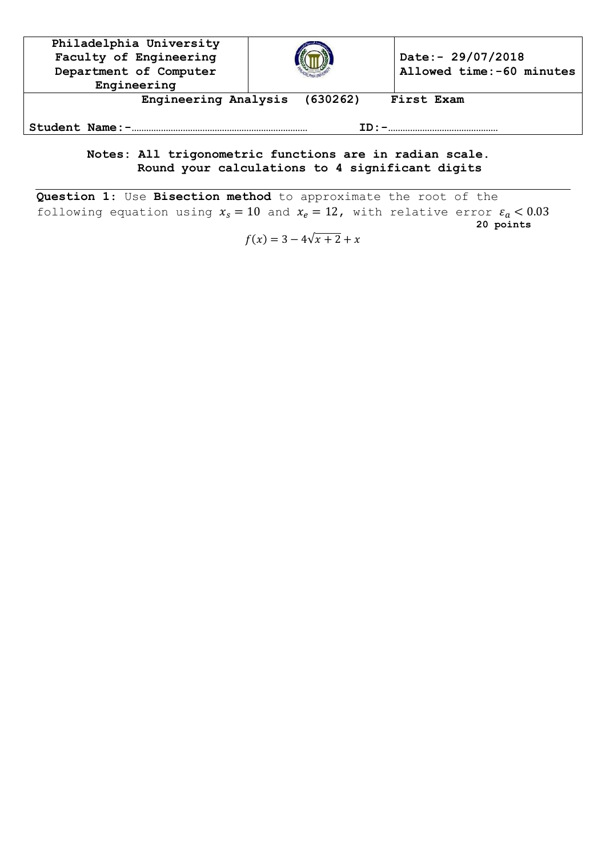| Philadelphia University<br>Faculty of Engineering<br>Department of Computer<br>Engineering |  | Date:- 29/07/2018<br>Allowed time: -60 minutes |  |  |
|--------------------------------------------------------------------------------------------|--|------------------------------------------------|--|--|
| Engineering Analysis<br>(630262)<br>First Exam<br>Student Name:-                           |  |                                                |  |  |
|                                                                                            |  |                                                |  |  |

## **Notes: All trigonometric functions are in radian scale. Round your calculations to 4 significant digits**

**Question 1**: Use **Bisection method** to approximate the root of the following equation using  $x_s = 10$  and  $x_e = 12$ , with relative error **20 points**

 $f(x) = 3 - 4\sqrt{x+2} + x$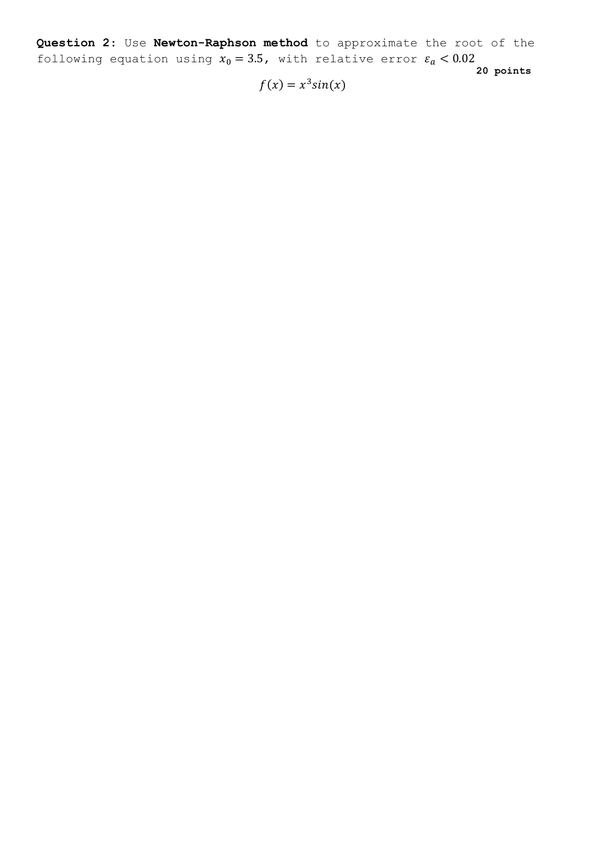**Question 2**: Use **Newton-Raphson method** to approximate the root of the following equation using  $x_0 = 3.5$ , with relative error **20 points**

 $f(x) = x^3 sin(x)$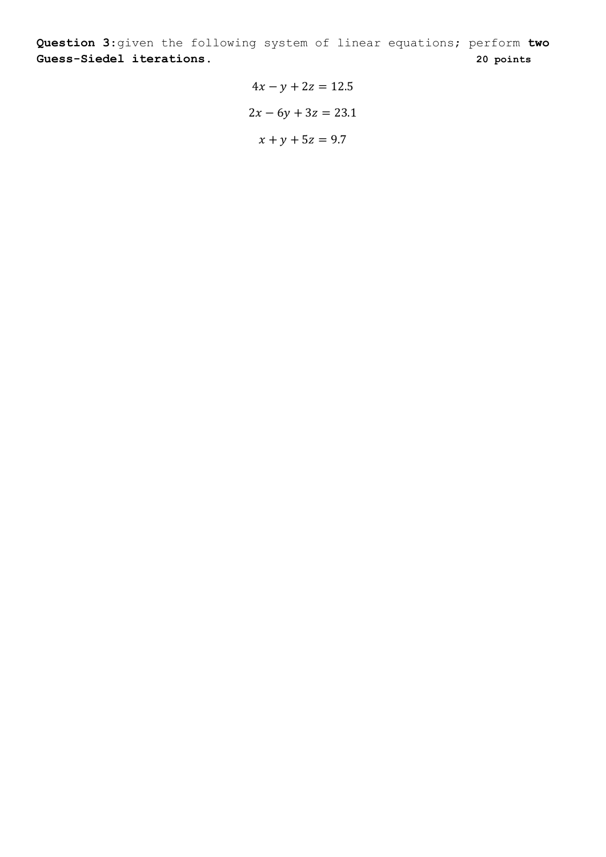**Question 3**:given the following system of linear equations; perform **two Guess-Siedel iterations. 20 points**

> $4x - y + 2z = 12.5$  $2x - 6y + 3z = 23.1$  $x + y + 5z = 9.7$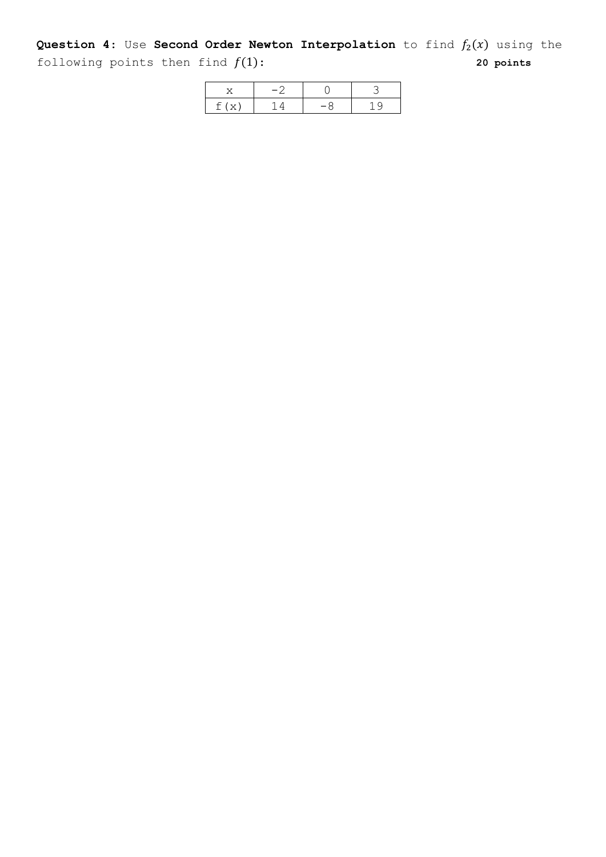**Question 4:** Use **Second Order Newton Interpolation** to find  $f_2(x)$  using the following points then find  $f(1)$ :  $\hspace{2.5cm}$  **20 points** 

| f(x) |  |  |
|------|--|--|